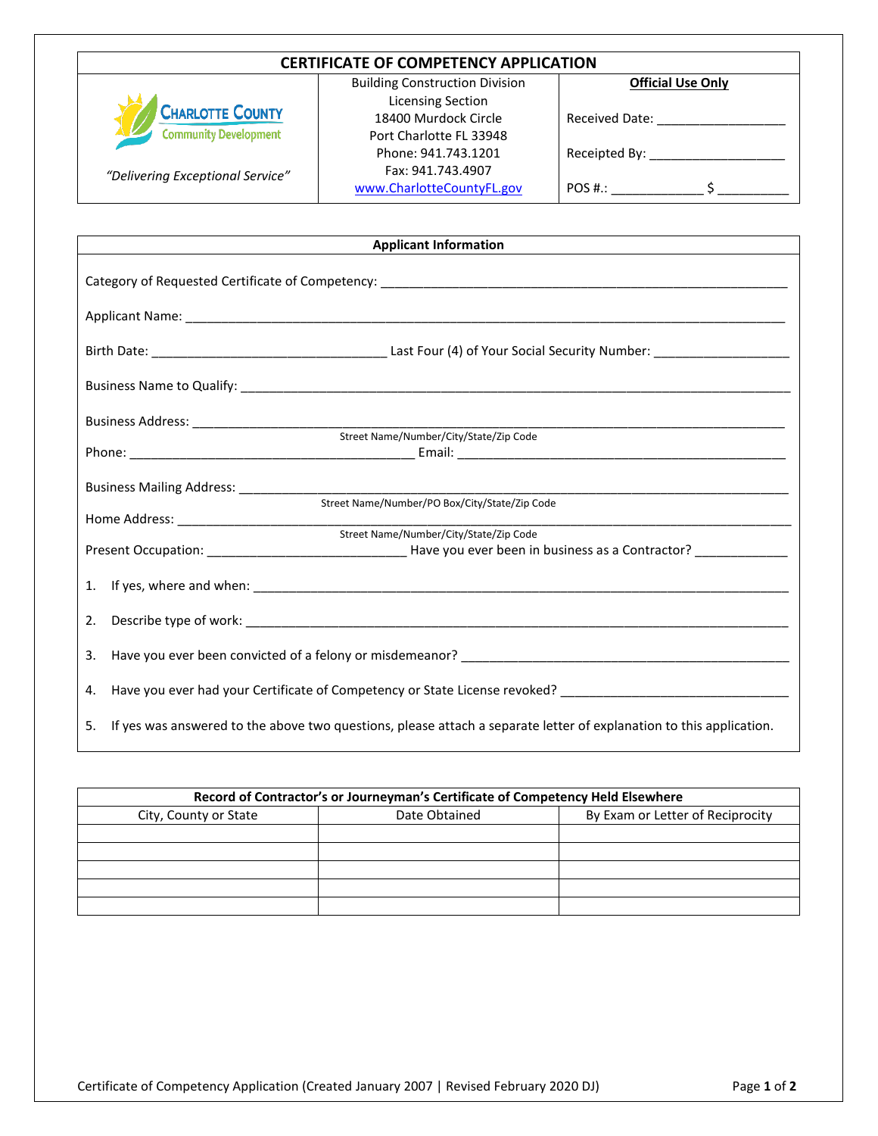| <b>CERTIFICATE OF COMPETENCY APPLICATION</b> |                                                                   |                       |  |  |  |
|----------------------------------------------|-------------------------------------------------------------------|-----------------------|--|--|--|
|                                              | <b>Building Construction Division</b><br><b>Official Use Only</b> |                       |  |  |  |
|                                              | <b>Licensing Section</b>                                          |                       |  |  |  |
| <b>CHARLOTTE COUNTY</b>                      | 18400 Murdock Circle                                              | <b>Received Date:</b> |  |  |  |
| <b>Community Development</b>                 | Port Charlotte FL 33948                                           |                       |  |  |  |
|                                              | Phone: 941.743.1201                                               | Receipted By:         |  |  |  |
| "Delivering Exceptional Service"             | Fax: 941.743.4907                                                 |                       |  |  |  |
|                                              | www.CharlotteCountyFL.gov                                         | POS #.:               |  |  |  |

| <b>Applicant Information</b>                                                                                         |                                                                                                                                                                 |  |
|----------------------------------------------------------------------------------------------------------------------|-----------------------------------------------------------------------------------------------------------------------------------------------------------------|--|
|                                                                                                                      |                                                                                                                                                                 |  |
|                                                                                                                      |                                                                                                                                                                 |  |
|                                                                                                                      |                                                                                                                                                                 |  |
|                                                                                                                      |                                                                                                                                                                 |  |
|                                                                                                                      |                                                                                                                                                                 |  |
|                                                                                                                      |                                                                                                                                                                 |  |
|                                                                                                                      |                                                                                                                                                                 |  |
|                                                                                                                      |                                                                                                                                                                 |  |
|                                                                                                                      |                                                                                                                                                                 |  |
|                                                                                                                      | <u> 1989 - Johann Harry Harry Harry Harry Harry Harry Harry Harry Harry Harry Harry Harry Harry Harry Harry Harry</u><br>Street Name/Number/City/State/Zip Code |  |
|                                                                                                                      | Present Occupation: ___________________________________Have you ever been in business as a Contractor? ______________                                           |  |
|                                                                                                                      |                                                                                                                                                                 |  |
| 1.                                                                                                                   |                                                                                                                                                                 |  |
| 2.                                                                                                                   |                                                                                                                                                                 |  |
| 3.                                                                                                                   |                                                                                                                                                                 |  |
| Have you ever had your Certificate of Competency or State License revoked? ___________________________________<br>4. |                                                                                                                                                                 |  |
| 5.                                                                                                                   | If yes was answered to the above two questions, please attach a separate letter of explanation to this application.                                             |  |

| Record of Contractor's or Journeyman's Certificate of Competency Held Elsewhere |               |                                  |  |  |  |
|---------------------------------------------------------------------------------|---------------|----------------------------------|--|--|--|
| City, County or State                                                           | Date Obtained | By Exam or Letter of Reciprocity |  |  |  |
|                                                                                 |               |                                  |  |  |  |
|                                                                                 |               |                                  |  |  |  |
|                                                                                 |               |                                  |  |  |  |
|                                                                                 |               |                                  |  |  |  |
|                                                                                 |               |                                  |  |  |  |